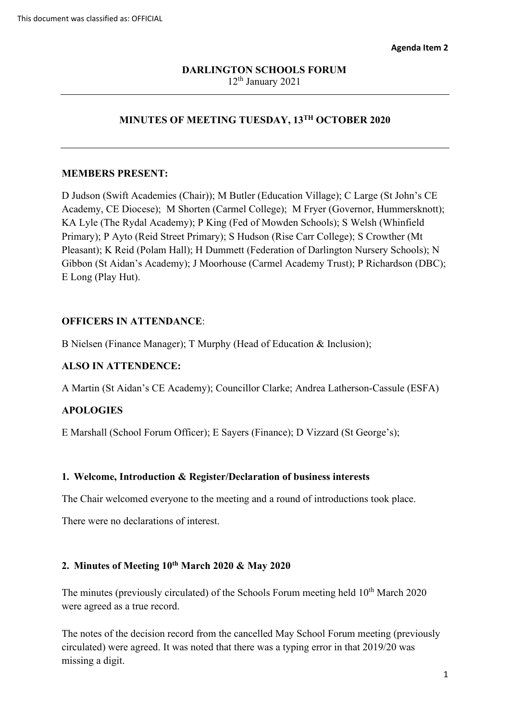# **MINUTES OF MEETING TUESDAY, 13TH OCTOBER 2020**

#### **MEMBERS PRESENT:**

 Academy, CE Diocese); M Shorten (Carmel College); M Fryer (Governor, Hummersknott); Primary); P Ayto (Reid Street Primary); S Hudson (Rise Carr College); S Crowther (Mt D Judson (Swift Academies (Chair)); M Butler (Education Village); C Large (St John's CE KA Lyle (The Rydal Academy); P King (Fed of Mowden Schools); S Welsh (Whinfield Pleasant); K Reid (Polam Hall); H Dummett (Federation of Darlington Nursery Schools); N Gibbon (St Aidan's Academy); J Moorhouse (Carmel Academy Trust); P Richardson (DBC); E Long (Play Hut).

### **OFFICERS IN ATTENDANCE**:

B Nielsen (Finance Manager); T Murphy (Head of Education & Inclusion);

#### **ALSO IN ATTENDENCE:**

A Martin (St Aidan's CE Academy); Councillor Clarke; Andrea Latherson-Cassule (ESFA)

## **APOLOGIES**

E Marshall (School Forum Officer); E Sayers (Finance); D Vizzard (St George's);

#### **1. Welcome, Introduction & Register/Declaration of business interests**

The Chair welcomed everyone to the meeting and a round of introductions took place.

There were no declarations of interest.

### **2. Minutes of Meeting 10th March 2020 & May 2020**

The minutes (previously circulated) of the Schools Forum meeting held 10<sup>th</sup> March 2020 were agreed as a true record.

 circulated) were agreed. It was noted that there was a typing error in that 2019/20 was The notes of the decision record from the cancelled May School Forum meeting (previously missing a digit.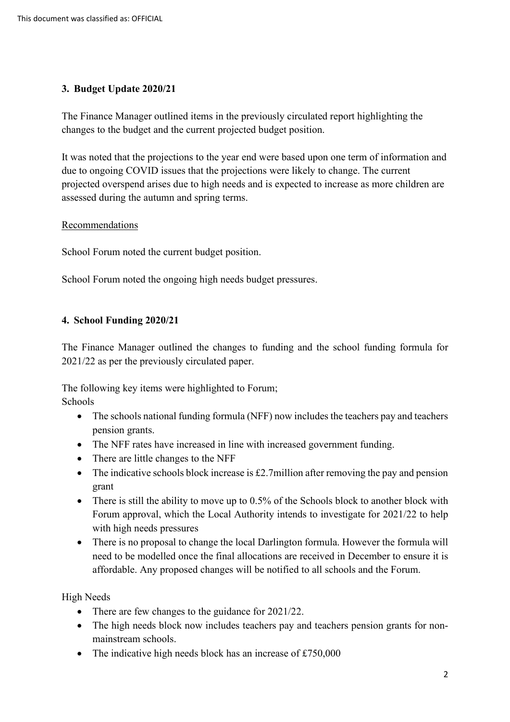# **3. Budget Update 2020/21**

The Finance Manager outlined items in the previously circulated report highlighting the changes to the budget and the current projected budget position.

 projected overspend arises due to high needs and is expected to increase as more children are It was noted that the projections to the year end were based upon one term of information and due to ongoing COVID issues that the projections were likely to change. The current assessed during the autumn and spring terms.

## Recommendations

School Forum noted the current budget position.

School Forum noted the ongoing high needs budget pressures.

## **4. School Funding 2020/21**

2021/22 as per the previously circulated paper. The Finance Manager outlined the changes to funding and the school funding formula for

The following key items were highlighted to Forum; Schools

- The schools national funding formula (NFF) now includes the teachers pay and teachers pension grants.
- The NFF rates have increased in line with increased government funding.
- There are little changes to the NFF
- The indicative schools block increase is  $\pounds$ 2.7million after removing the pay and pension grant
- There is still the ability to move up to 0.5% of the Schools block to another block with Forum approval, which the Local Authority intends to investigate for 2021/22 to help with high needs pressures
- There is no proposal to change the local Darlington formula. However the formula will need to be modelled once the final allocations are received in December to ensure it is affordable. Any proposed changes will be notified to all schools and the Forum.

High Needs

- There are few changes to the guidance for 2021/22.
- The high needs block now includes teachers pay and teachers pension grants for nonmainstream schools.
- The indicative high needs block has an increase of  $£750,000$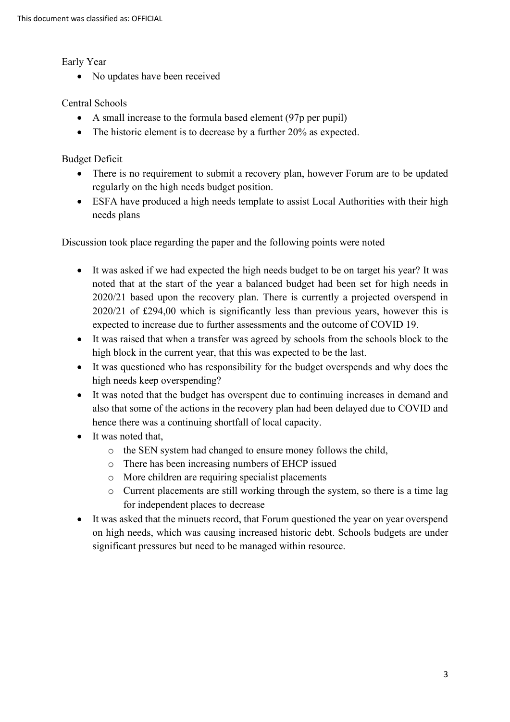Early Year

• No updates have been received

## Central Schools

- A small increase to the formula based element (97p per pupil)
- The historic element is to decrease by a further 20% as expected.

Budget Deficit

- • There is no requirement to submit a recovery plan, however Forum are to be updated regularly on the high needs budget position.
- ESFA have produced a high needs template to assist Local Authorities with their high needs plans

Discussion took place regarding the paper and the following points were noted

- It was asked if we had expected the high needs budget to be on target his year? It was noted that at the start of the year a balanced budget had been set for high needs in 2020/21 based upon the recovery plan. There is currently a projected overspend in 2020/21 of £294,00 which is significantly less than previous years, however this is expected to increase due to further assessments and the outcome of COVID 19.
- It was raised that when a transfer was agreed by schools from the schools block to the high block in the current year, that this was expected to be the last.
- It was questioned who has responsibility for the budget overspends and why does the high needs keep overspending?
- It was noted that the budget has overspent due to continuing increases in demand and also that some of the actions in the recovery plan had been delayed due to COVID and hence there was a continuing shortfall of local capacity.
- It was noted that,
	- o the SEN system had changed to ensure money follows the child,
	- o There has been increasing numbers of EHCP issued
	- o More children are requiring specialist placements
	- o Current placements are still working through the system, so there is a time lag for independent places to decrease
- significant pressures but need to be managed within resource. • It was asked that the minuets record, that Forum questioned the year on year overspend on high needs, which was causing increased historic debt. Schools budgets are under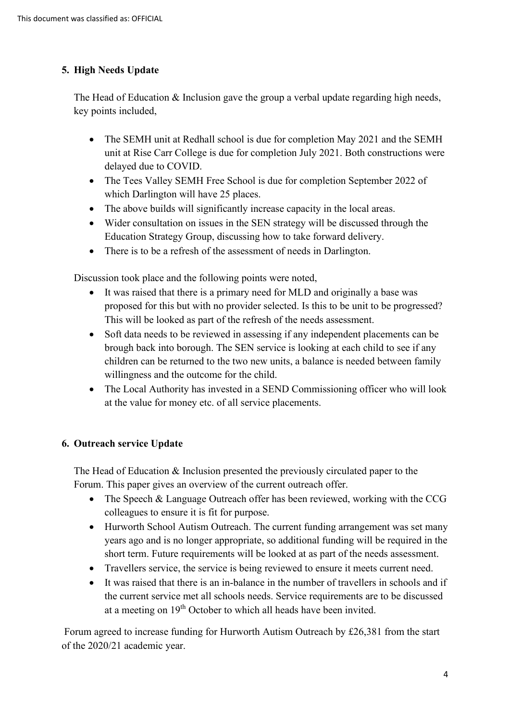# **5. High Needs Update**

The Head of Education & Inclusion gave the group a verbal update regarding high needs, key points included,

- • The SEMH unit at Redhall school is due for completion May 2021 and the SEMH unit at Rise Carr College is due for completion July 2021. Both constructions were delayed due to COVID.
- The Tees Valley SEMH Free School is due for completion September 2022 of which Darlington will have 25 places.
- The above builds will significantly increase capacity in the local areas.
- Wider consultation on issues in the SEN strategy will be discussed through the Education Strategy Group, discussing how to take forward delivery.
- There is to be a refresh of the assessment of needs in Darlington.

Discussion took place and the following points were noted,

- • It was raised that there is a primary need for MLD and originally a base was proposed for this but with no provider selected. Is this to be unit to be progressed? This will be looked as part of the refresh of the needs assessment.
- Soft data needs to be reviewed in assessing if any independent placements can be brough back into borough. The SEN service is looking at each child to see if any children can be returned to the two new units, a balance is needed between family willingness and the outcome for the child.
- The Local Authority has invested in a SEND Commissioning officer who will look at the value for money etc. of all service placements.

# **6. Outreach service Update**

 Forum. This paper gives an overview of the current outreach offer. The Head of Education & Inclusion presented the previously circulated paper to the

- The Speech & Language Outreach offer has been reviewed, working with the CCG colleagues to ensure it is fit for purpose.
- • Hurworth School Autism Outreach. The current funding arrangement was set many years ago and is no longer appropriate, so additional funding will be required in the short term. Future requirements will be looked at as part of the needs assessment.
- Travellers service, the service is being reviewed to ensure it meets current need.
- It was raised that there is an in-balance in the number of travellers in schools and if the current service met all schools needs. Service requirements are to be discussed at a meeting on 19<sup>th</sup> October to which all heads have been invited.

 of the 2020/21 academic year. Forum agreed to increase funding for Hurworth Autism Outreach by £26,381 from the start